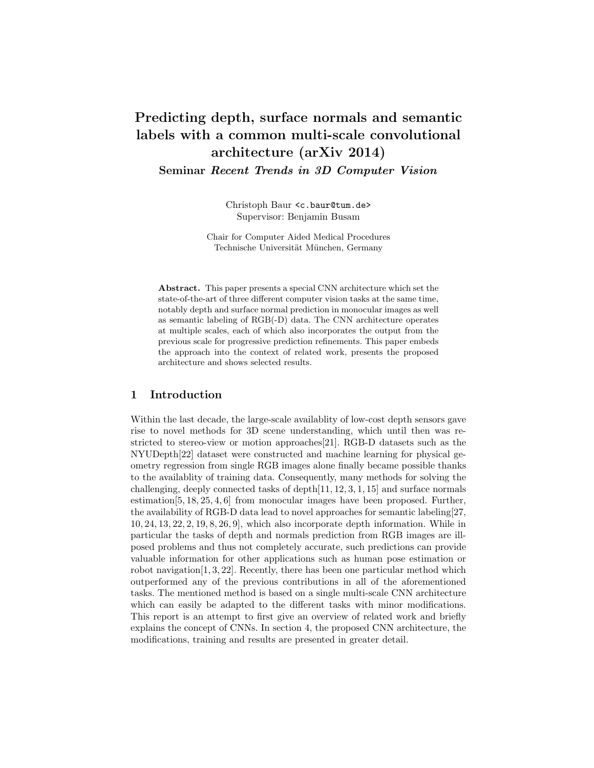# Predicting depth, surface normals and semantic labels with a common multi-scale convolutional architecture (arXiv 2014) Seminar Recent Trends in 3D Computer Vision

Christoph Baur <c.baur@tum.de> Supervisor: Benjamin Busam

Chair for Computer Aided Medical Procedures Technische Universität München, Germany

Abstract. This paper presents a special CNN architecture which set the state-of-the-art of three different computer vision tasks at the same time, notably depth and surface normal prediction in monocular images as well as semantic labeling of RGB(-D) data. The CNN architecture operates at multiple scales, each of which also incorporates the output from the previous scale for progressive prediction refinements. This paper embeds the approach into the context of related work, presents the proposed architecture and shows selected results.

# 1 Introduction

Within the last decade, the large-scale availablity of low-cost depth sensors gave rise to novel methods for 3D scene understanding, which until then was restricted to stereo-view or motion approaches[21]. RGB-D datasets such as the NYUDepth[22] dataset were constructed and machine learning for physical geometry regression from single RGB images alone finally became possible thanks to the availablity of training data. Consequently, many methods for solving the challenging, deeply connected tasks of depth $[11, 12, 3, 1, 15]$  and surface normals estimation[5, 18, 25, 4, 6] from monocular images have been proposed. Further, the availability of RGB-D data lead to novel approaches for semantic labeling[27, 10, 24, 13, 22, 2, 19, 8, 26, 9], which also incorporate depth information. While in particular the tasks of depth and normals prediction from RGB images are illposed problems and thus not completely accurate, such predictions can provide valuable information for other applications such as human pose estimation or robot navigation[1, 3, 22]. Recently, there has been one particular method which outperformed any of the previous contributions in all of the aforementioned tasks. The mentioned method is based on a single multi-scale CNN architecture which can easily be adapted to the different tasks with minor modifications. This report is an attempt to first give an overview of related work and briefly explains the concept of CNNs. In section 4, the proposed CNN architecture, the modifications, training and results are presented in greater detail.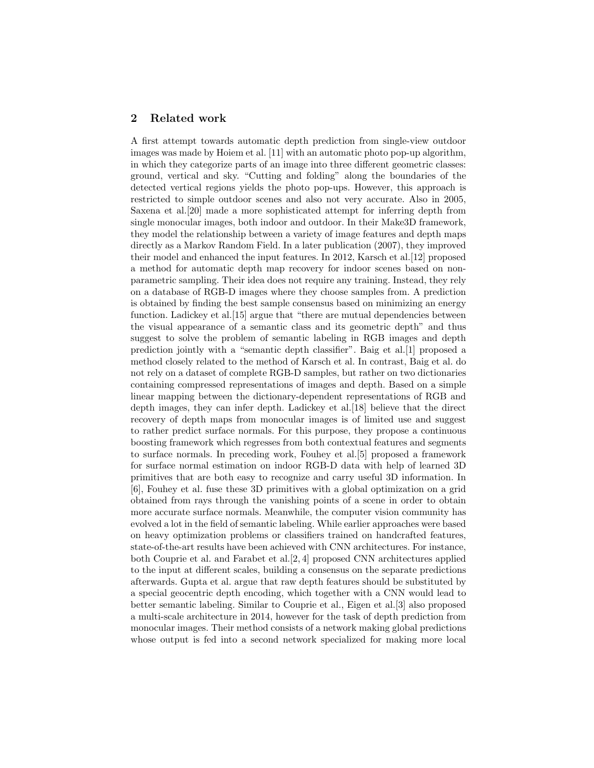# 2 Related work

A first attempt towards automatic depth prediction from single-view outdoor images was made by Hoiem et al. [11] with an automatic photo pop-up algorithm, in which they categorize parts of an image into three different geometric classes: ground, vertical and sky. "Cutting and folding" along the boundaries of the detected vertical regions yields the photo pop-ups. However, this approach is restricted to simple outdoor scenes and also not very accurate. Also in 2005, Saxena et al.[20] made a more sophisticated attempt for inferring depth from single monocular images, both indoor and outdoor. In their Make3D framework, they model the relationship between a variety of image features and depth maps directly as a Markov Random Field. In a later publication (2007), they improved their model and enhanced the input features. In 2012, Karsch et al.[12] proposed a method for automatic depth map recovery for indoor scenes based on nonparametric sampling. Their idea does not require any training. Instead, they rely on a database of RGB-D images where they choose samples from. A prediction is obtained by finding the best sample consensus based on minimizing an energy function. Ladickey et al.<sup>[15]</sup> argue that "there are mutual dependencies between the visual appearance of a semantic class and its geometric depth" and thus suggest to solve the problem of semantic labeling in RGB images and depth prediction jointly with a "semantic depth classifier". Baig et al.[1] proposed a method closely related to the method of Karsch et al. In contrast, Baig et al. do not rely on a dataset of complete RGB-D samples, but rather on two dictionaries containing compressed representations of images and depth. Based on a simple linear mapping between the dictionary-dependent representations of RGB and depth images, they can infer depth. Ladickey et al.[18] believe that the direct recovery of depth maps from monocular images is of limited use and suggest to rather predict surface normals. For this purpose, they propose a continuous boosting framework which regresses from both contextual features and segments to surface normals. In preceding work, Fouhey et al.[5] proposed a framework for surface normal estimation on indoor RGB-D data with help of learned 3D primitives that are both easy to recognize and carry useful 3D information. In [6], Fouhey et al. fuse these 3D primitives with a global optimization on a grid obtained from rays through the vanishing points of a scene in order to obtain more accurate surface normals. Meanwhile, the computer vision community has evolved a lot in the field of semantic labeling. While earlier approaches were based on heavy optimization problems or classifiers trained on handcrafted features, state-of-the-art results have been achieved with CNN architectures. For instance, both Couprie et al. and Farabet et al.[2, 4] proposed CNN architectures applied to the input at different scales, building a consensus on the separate predictions afterwards. Gupta et al. argue that raw depth features should be substituted by a special geocentric depth encoding, which together with a CNN would lead to better semantic labeling. Similar to Couprie et al., Eigen et al.[3] also proposed a multi-scale architecture in 2014, however for the task of depth prediction from monocular images. Their method consists of a network making global predictions whose output is fed into a second network specialized for making more local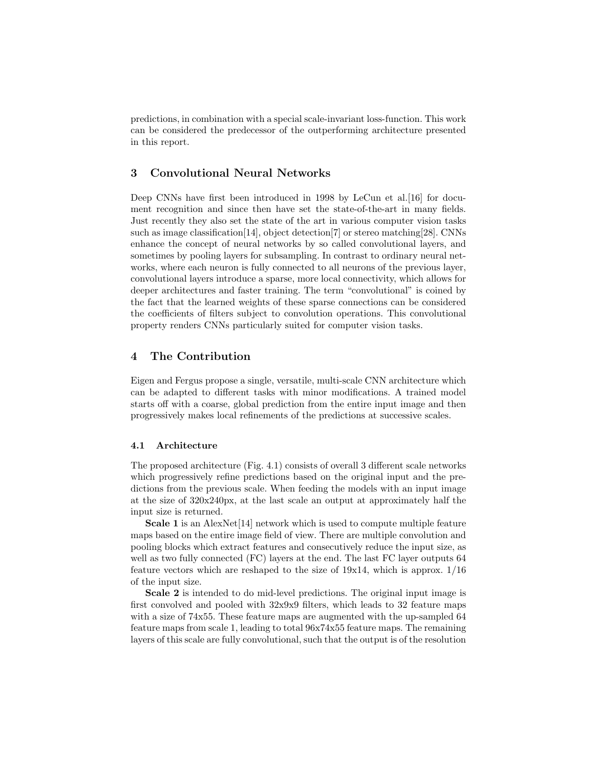predictions, in combination with a special scale-invariant loss-function. This work can be considered the predecessor of the outperforming architecture presented in this report.

# 3 Convolutional Neural Networks

Deep CNNs have first been introduced in 1998 by LeCun et al.[16] for document recognition and since then have set the state-of-the-art in many fields. Just recently they also set the state of the art in various computer vision tasks such as image classification [14], object detection [7] or stereo matching [28]. CNNs enhance the concept of neural networks by so called convolutional layers, and sometimes by pooling layers for subsampling. In contrast to ordinary neural networks, where each neuron is fully connected to all neurons of the previous layer, convolutional layers introduce a sparse, more local connectivity, which allows for deeper architectures and faster training. The term "convolutional" is coined by the fact that the learned weights of these sparse connections can be considered the coefficients of filters subject to convolution operations. This convolutional property renders CNNs particularly suited for computer vision tasks.

# 4 The Contribution

Eigen and Fergus propose a single, versatile, multi-scale CNN architecture which can be adapted to different tasks with minor modifications. A trained model starts off with a coarse, global prediction from the entire input image and then progressively makes local refinements of the predictions at successive scales.

#### 4.1 Architecture

The proposed architecture (Fig. 4.1) consists of overall 3 different scale networks which progressively refine predictions based on the original input and the predictions from the previous scale. When feeding the models with an input image at the size of 320x240px, at the last scale an output at approximately half the input size is returned.

Scale 1 is an AlexNet [14] network which is used to compute multiple feature maps based on the entire image field of view. There are multiple convolution and pooling blocks which extract features and consecutively reduce the input size, as well as two fully connected (FC) layers at the end. The last FC layer outputs 64 feature vectors which are reshaped to the size of 19x14, which is approx. 1/16 of the input size.

Scale 2 is intended to do mid-level predictions. The original input image is first convolved and pooled with  $32x9x9$  filters, which leads to  $32$  feature maps with a size of 74x55. These feature maps are augmented with the up-sampled 64 feature maps from scale 1, leading to total 96x74x55 feature maps. The remaining layers of this scale are fully convolutional, such that the output is of the resolution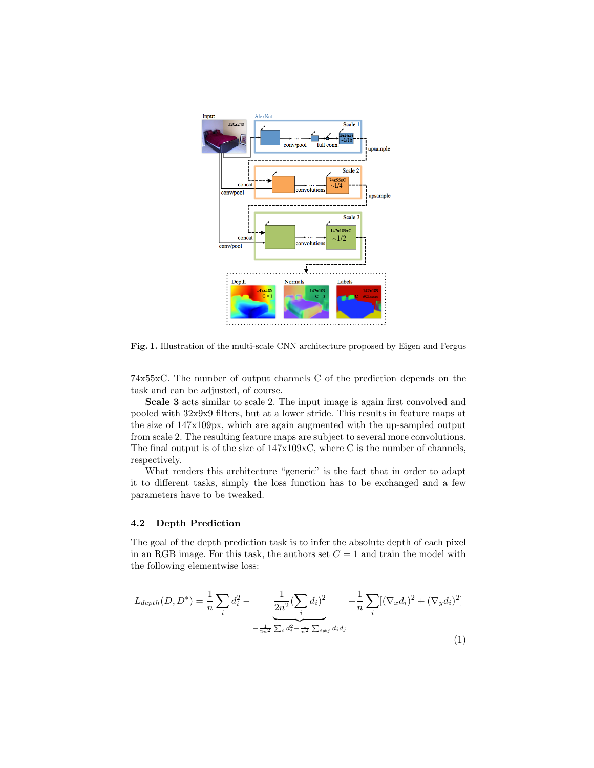

Fig. 1. Illustration of the multi-scale CNN architecture proposed by Eigen and Fergus

74x55xC. The number of output channels C of the prediction depends on the task and can be adjusted, of course.

Scale 3 acts similar to scale 2. The input image is again first convolved and pooled with 32x9x9 filters, but at a lower stride. This results in feature maps at the size of 147x109px, which are again augmented with the up-sampled output from scale 2. The resulting feature maps are subject to several more convolutions. The final output is of the size of 147x109xC, where C is the number of channels, respectively.

What renders this architecture "generic" is the fact that in order to adapt it to different tasks, simply the loss function has to be exchanged and a few parameters have to be tweaked.

### 4.2 Depth Prediction

The goal of the depth prediction task is to infer the absolute depth of each pixel in an RGB image. For this task, the authors set  $C = 1$  and train the model with the following elementwise loss:

$$
L_{depth}(D, D^*) = \frac{1}{n} \sum_{i} d_i^2 - \underbrace{\frac{1}{2n^2} (\sum_{i} d_i)^2}_{-\frac{1}{2n^2} \sum_{i} d_i^2 - \frac{1}{n^2} \sum_{i \neq j} d_i d_j} + \frac{1}{n} \sum_{i} [(\nabla_x d_i)^2 + (\nabla_y d_i)^2]
$$
\n(1)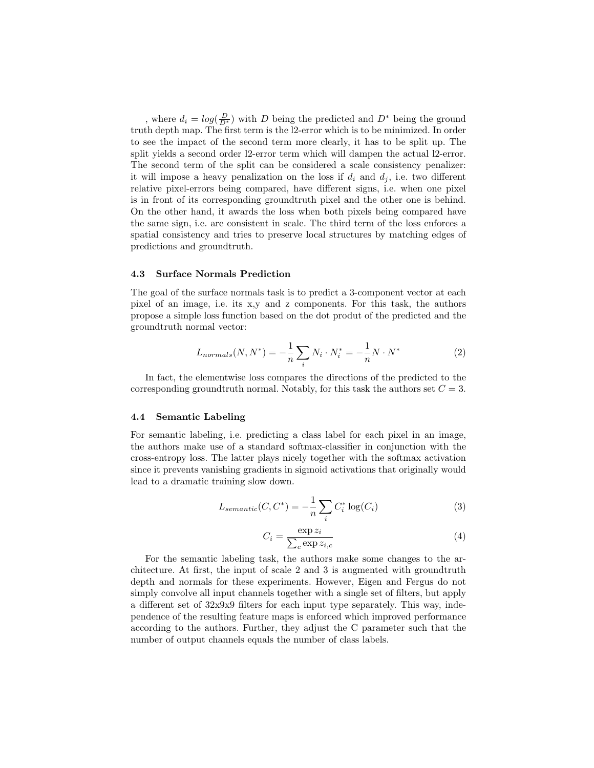, where  $d_i = log(\frac{D}{D^*})$  with D being the predicted and  $D^*$  being the ground truth depth map. The first term is the l2-error which is to be minimized. In order to see the impact of the second term more clearly, it has to be split up. The split yields a second order l2-error term which will dampen the actual l2-error. The second term of the split can be considered a scale consistency penalizer: it will impose a heavy penalization on the loss if  $d_i$  and  $d_j$ , i.e. two different relative pixel-errors being compared, have different signs, i.e. when one pixel is in front of its corresponding groundtruth pixel and the other one is behind. On the other hand, it awards the loss when both pixels being compared have the same sign, i.e. are consistent in scale. The third term of the loss enforces a spatial consistency and tries to preserve local structures by matching edges of predictions and groundtruth.

#### 4.3 Surface Normals Prediction

The goal of the surface normals task is to predict a 3-component vector at each pixel of an image, i.e. its x,y and z components. For this task, the authors propose a simple loss function based on the dot produt of the predicted and the groundtruth normal vector:

$$
L_{normals}(N, N^*) = -\frac{1}{n} \sum_{i} N_i \cdot N_i^* = -\frac{1}{n} N \cdot N^* \tag{2}
$$

In fact, the elementwise loss compares the directions of the predicted to the corresponding groundtruth normal. Notably, for this task the authors set  $C = 3$ .

#### 4.4 Semantic Labeling

For semantic labeling, i.e. predicting a class label for each pixel in an image, the authors make use of a standard softmax-classifier in conjunction with the cross-entropy loss. The latter plays nicely together with the softmax activation since it prevents vanishing gradients in sigmoid activations that originally would lead to a dramatic training slow down.

$$
L_{semantic}(C, C^*) = -\frac{1}{n} \sum_{i} C_i^* \log(C_i)
$$
\n(3)

$$
C_i = \frac{\exp z_i}{\sum_c \exp z_{i,c}}\tag{4}
$$

For the semantic labeling task, the authors make some changes to the architecture. At first, the input of scale 2 and 3 is augmented with groundtruth depth and normals for these experiments. However, Eigen and Fergus do not simply convolve all input channels together with a single set of filters, but apply a different set of 32x9x9 filters for each input type separately. This way, independence of the resulting feature maps is enforced which improved performance according to the authors. Further, they adjust the C parameter such that the number of output channels equals the number of class labels.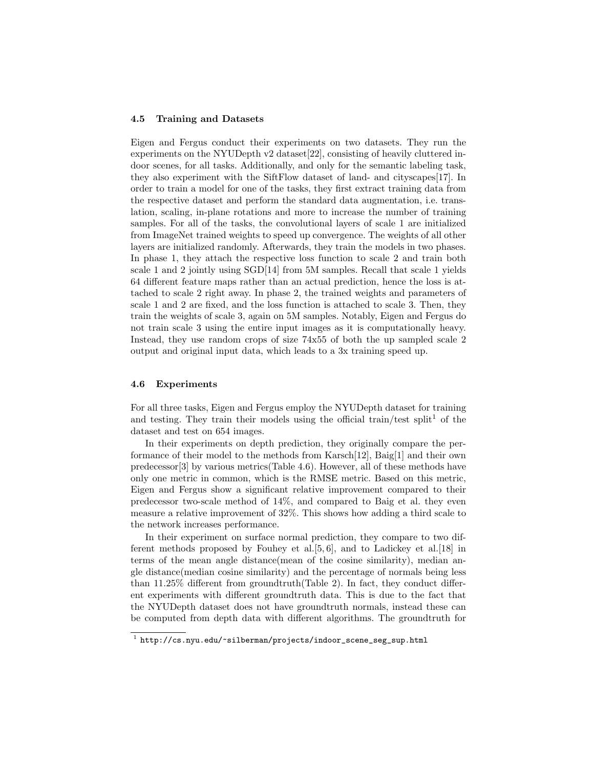#### 4.5 Training and Datasets

Eigen and Fergus conduct their experiments on two datasets. They run the experiments on the NYUDepth v2 dataset [22], consisting of heavily cluttered indoor scenes, for all tasks. Additionally, and only for the semantic labeling task, they also experiment with the SiftFlow dataset of land- and cityscapes[17]. In order to train a model for one of the tasks, they first extract training data from the respective dataset and perform the standard data augmentation, i.e. translation, scaling, in-plane rotations and more to increase the number of training samples. For all of the tasks, the convolutional layers of scale 1 are initialized from ImageNet trained weights to speed up convergence. The weights of all other layers are initialized randomly. Afterwards, they train the models in two phases. In phase 1, they attach the respective loss function to scale 2 and train both scale 1 and 2 jointly using SGD[14] from 5M samples. Recall that scale 1 yields 64 different feature maps rather than an actual prediction, hence the loss is attached to scale 2 right away. In phase 2, the trained weights and parameters of scale 1 and 2 are fixed, and the loss function is attached to scale 3. Then, they train the weights of scale 3, again on 5M samples. Notably, Eigen and Fergus do not train scale 3 using the entire input images as it is computationally heavy. Instead, they use random crops of size 74x55 of both the up sampled scale 2 output and original input data, which leads to a 3x training speed up.

## 4.6 Experiments

For all three tasks, Eigen and Fergus employ the NYUDepth dataset for training and testing. They train their models using the official train/test split<sup>1</sup> of the dataset and test on 654 images.

In their experiments on depth prediction, they originally compare the performance of their model to the methods from Karsch[12], Baig[1] and their own predecessor[3] by various metrics(Table 4.6). However, all of these methods have only one metric in common, which is the RMSE metric. Based on this metric, Eigen and Fergus show a significant relative improvement compared to their predecessor two-scale method of 14%, and compared to Baig et al. they even measure a relative improvement of 32%. This shows how adding a third scale to the network increases performance.

In their experiment on surface normal prediction, they compare to two different methods proposed by Fouhey et al.[5, 6], and to Ladickey et al.[18] in terms of the mean angle distance(mean of the cosine similarity), median angle distance(median cosine similarity) and the percentage of normals being less than 11.25% different from groundtruth(Table 2). In fact, they conduct different experiments with different groundtruth data. This is due to the fact that the NYUDepth dataset does not have groundtruth normals, instead these can be computed from depth data with different algorithms. The groundtruth for

 $^{\rm 1}$  http://cs.nyu.edu/~silberman/projects/indoor\_scene\_seg\_sup.html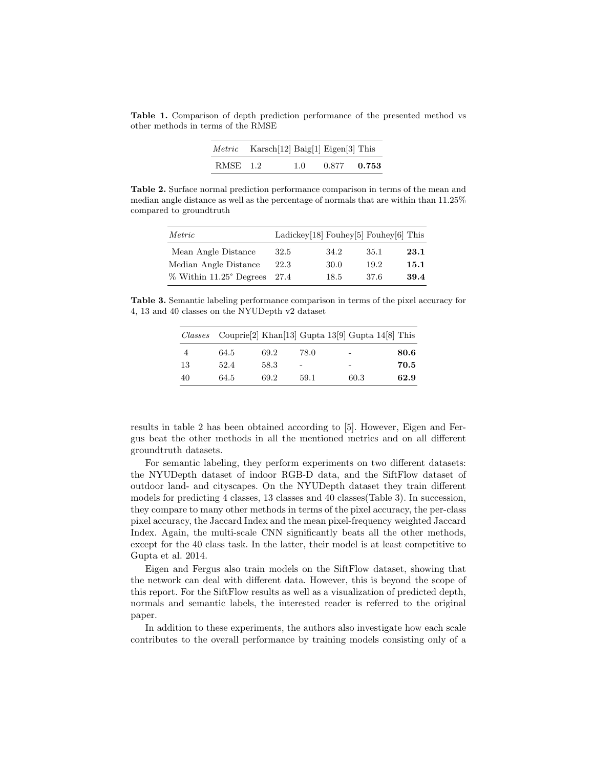Table 1. Comparison of depth prediction performance of the presented method vs other methods in terms of the RMSE

| Metric   | Karsch[12] Baig[1] Eigen[3] This |     |       |       |
|----------|----------------------------------|-----|-------|-------|
| RMSE 1.2 |                                  | 1.0 | 0.877 | 0.753 |

Table 2. Surface normal prediction performance comparison in terms of the mean and median angle distance as well as the percentage of normals that are within than 11.25% compared to groundtruth

| Metric                  | Ladickey[18] Fouhey[5] Fouhey[6] This |      |      |      |
|-------------------------|---------------------------------------|------|------|------|
| Mean Angle Distance     | 32.5                                  | 34.2 | 35.1 | 23.1 |
| Median Angle Distance   | 22.3                                  | 30.0 | 19.2 | 15.1 |
| % Within 11.25° Degrees | 27.4                                  | 18.5 | 37.6 | 39.4 |

Table 3. Semantic labeling performance comparison in terms of the pixel accuracy for 4, 13 and 40 classes on the NYUDepth v2 dataset

| Classes |      |      |      | Couprie <sup>[2]</sup> Khan <sup>[13]</sup> Gupta 13 <sup>[9]</sup> Gupta 14 <sup>[8]</sup> This |      |
|---------|------|------|------|--------------------------------------------------------------------------------------------------|------|
| 4       | 64.5 | 69.2 | 78.0 | $\overline{\phantom{0}}$                                                                         | 80.6 |
| 13      | 52.4 | 58.3 | ٠    | $\overline{\phantom{0}}$                                                                         | 70.5 |
| 40      | 64.5 | 69.2 | 59.1 | 60.3                                                                                             | 62.9 |

results in table 2 has been obtained according to [5]. However, Eigen and Fergus beat the other methods in all the mentioned metrics and on all different groundtruth datasets.

For semantic labeling, they perform experiments on two different datasets: the NYUDepth dataset of indoor RGB-D data, and the SiftFlow dataset of outdoor land- and cityscapes. On the NYUDepth dataset they train different models for predicting 4 classes, 13 classes and 40 classes(Table 3). In succession, they compare to many other methods in terms of the pixel accuracy, the per-class pixel accuracy, the Jaccard Index and the mean pixel-frequency weighted Jaccard Index. Again, the multi-scale CNN significantly beats all the other methods, except for the 40 class task. In the latter, their model is at least competitive to Gupta et al. 2014.

Eigen and Fergus also train models on the SiftFlow dataset, showing that the network can deal with different data. However, this is beyond the scope of this report. For the SiftFlow results as well as a visualization of predicted depth, normals and semantic labels, the interested reader is referred to the original paper.

In addition to these experiments, the authors also investigate how each scale contributes to the overall performance by training models consisting only of a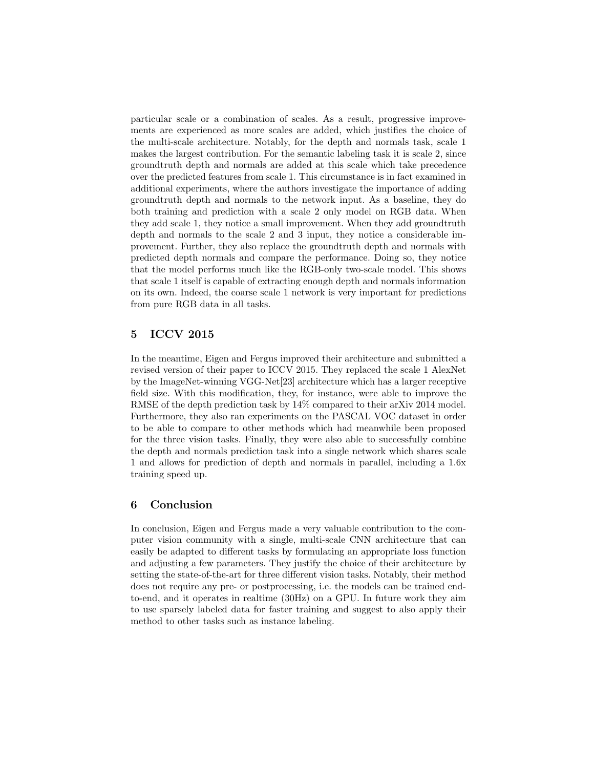particular scale or a combination of scales. As a result, progressive improvements are experienced as more scales are added, which justifies the choice of the multi-scale architecture. Notably, for the depth and normals task, scale 1 makes the largest contribution. For the semantic labeling task it is scale 2, since groundtruth depth and normals are added at this scale which take precedence over the predicted features from scale 1. This circumstance is in fact examined in additional experiments, where the authors investigate the importance of adding groundtruth depth and normals to the network input. As a baseline, they do both training and prediction with a scale 2 only model on RGB data. When they add scale 1, they notice a small improvement. When they add groundtruth depth and normals to the scale 2 and 3 input, they notice a considerable improvement. Further, they also replace the groundtruth depth and normals with predicted depth normals and compare the performance. Doing so, they notice that the model performs much like the RGB-only two-scale model. This shows that scale 1 itself is capable of extracting enough depth and normals information on its own. Indeed, the coarse scale 1 network is very important for predictions from pure RGB data in all tasks.

## 5 ICCV 2015

In the meantime, Eigen and Fergus improved their architecture and submitted a revised version of their paper to ICCV 2015. They replaced the scale 1 AlexNet by the ImageNet-winning VGG-Net[23] architecture which has a larger receptive field size. With this modification, they, for instance, were able to improve the RMSE of the depth prediction task by 14% compared to their arXiv 2014 model. Furthermore, they also ran experiments on the PASCAL VOC dataset in order to be able to compare to other methods which had meanwhile been proposed for the three vision tasks. Finally, they were also able to successfully combine the depth and normals prediction task into a single network which shares scale 1 and allows for prediction of depth and normals in parallel, including a 1.6x training speed up.

## 6 Conclusion

In conclusion, Eigen and Fergus made a very valuable contribution to the computer vision community with a single, multi-scale CNN architecture that can easily be adapted to different tasks by formulating an appropriate loss function and adjusting a few parameters. They justify the choice of their architecture by setting the state-of-the-art for three different vision tasks. Notably, their method does not require any pre- or postprocessing, i.e. the models can be trained endto-end, and it operates in realtime (30Hz) on a GPU. In future work they aim to use sparsely labeled data for faster training and suggest to also apply their method to other tasks such as instance labeling.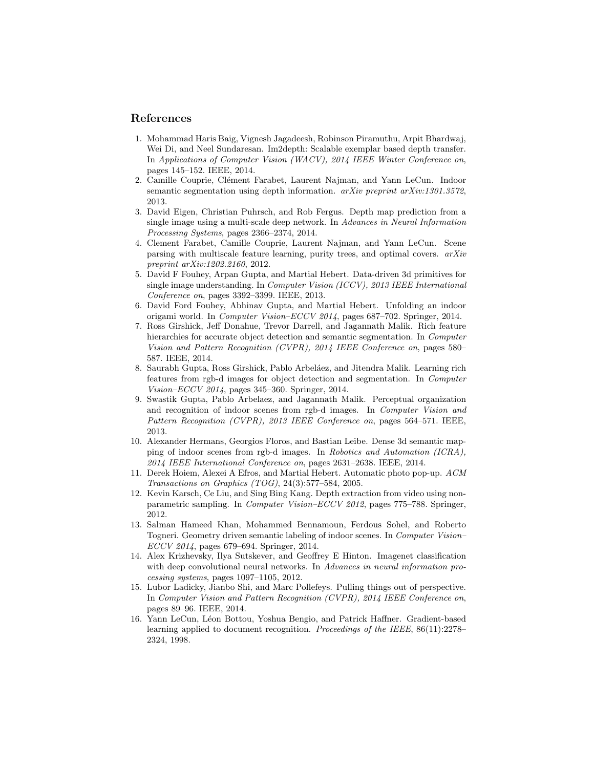## References

- 1. Mohammad Haris Baig, Vignesh Jagadeesh, Robinson Piramuthu, Arpit Bhardwaj, Wei Di, and Neel Sundaresan. Im2depth: Scalable exemplar based depth transfer. In Applications of Computer Vision (WACV), 2014 IEEE Winter Conference on, pages 145–152. IEEE, 2014.
- 2. Camille Couprie, Clément Farabet, Laurent Najman, and Yann LeCun. Indoor semantic segmentation using depth information.  $arXiv$  preprint  $arXiv:1301.3572$ , 2013.
- 3. David Eigen, Christian Puhrsch, and Rob Fergus. Depth map prediction from a single image using a multi-scale deep network. In Advances in Neural Information Processing Systems, pages 2366–2374, 2014.
- 4. Clement Farabet, Camille Couprie, Laurent Najman, and Yann LeCun. Scene parsing with multiscale feature learning, purity trees, and optimal covers. arXiv preprint arXiv:1202.2160, 2012.
- 5. David F Fouhey, Arpan Gupta, and Martial Hebert. Data-driven 3d primitives for single image understanding. In Computer Vision (ICCV), 2013 IEEE International Conference on, pages 3392–3399. IEEE, 2013.
- 6. David Ford Fouhey, Abhinav Gupta, and Martial Hebert. Unfolding an indoor origami world. In Computer Vision–ECCV 2014, pages 687–702. Springer, 2014.
- 7. Ross Girshick, Jeff Donahue, Trevor Darrell, and Jagannath Malik. Rich feature hierarchies for accurate object detection and semantic segmentation. In *Computer* Vision and Pattern Recognition (CVPR), 2014 IEEE Conference on, pages 580– 587. IEEE, 2014.
- 8. Saurabh Gupta, Ross Girshick, Pablo Arbeláez, and Jitendra Malik. Learning rich features from rgb-d images for object detection and segmentation. In Computer Vision–ECCV 2014, pages 345–360. Springer, 2014.
- 9. Swastik Gupta, Pablo Arbelaez, and Jagannath Malik. Perceptual organization and recognition of indoor scenes from rgb-d images. In Computer Vision and Pattern Recognition (CVPR), 2013 IEEE Conference on, pages 564–571. IEEE, 2013.
- 10. Alexander Hermans, Georgios Floros, and Bastian Leibe. Dense 3d semantic mapping of indoor scenes from rgb-d images. In Robotics and Automation (ICRA), 2014 IEEE International Conference on, pages 2631–2638. IEEE, 2014.
- 11. Derek Hoiem, Alexei A Efros, and Martial Hebert. Automatic photo pop-up. ACM Transactions on Graphics (TOG), 24(3):577–584, 2005.
- 12. Kevin Karsch, Ce Liu, and Sing Bing Kang. Depth extraction from video using nonparametric sampling. In Computer Vision–ECCV 2012, pages 775–788. Springer, 2012.
- 13. Salman Hameed Khan, Mohammed Bennamoun, Ferdous Sohel, and Roberto Togneri. Geometry driven semantic labeling of indoor scenes. In Computer Vision– ECCV 2014, pages 679–694. Springer, 2014.
- 14. Alex Krizhevsky, Ilya Sutskever, and Geoffrey E Hinton. Imagenet classification with deep convolutional neural networks. In Advances in neural information processing systems, pages 1097–1105, 2012.
- 15. Lubor Ladicky, Jianbo Shi, and Marc Pollefeys. Pulling things out of perspective. In Computer Vision and Pattern Recognition (CVPR), 2014 IEEE Conference on, pages 89–96. IEEE, 2014.
- 16. Yann LeCun, Léon Bottou, Yoshua Bengio, and Patrick Haffner. Gradient-based learning applied to document recognition. Proceedings of the IEEE, 86(11):2278– 2324, 1998.